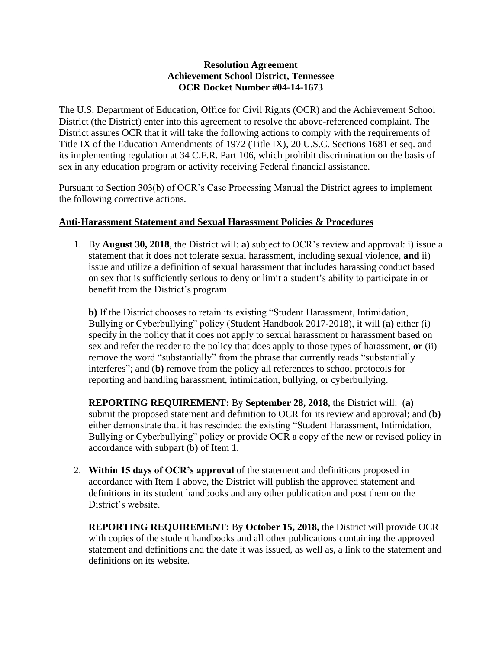## **Resolution Agreement Achievement School District, Tennessee OCR Docket Number #04-14-1673**

The U.S. Department of Education, Office for Civil Rights (OCR) and the Achievement School District (the District) enter into this agreement to resolve the above-referenced complaint. The District assures OCR that it will take the following actions to comply with the requirements of Title IX of the Education Amendments of 1972 (Title IX), 20 U.S.C. Sections 1681 et seq. and its implementing regulation at 34 C.F.R. Part 106, which prohibit discrimination on the basis of sex in any education program or activity receiving Federal financial assistance.

Pursuant to Section 303(b) of OCR's Case Processing Manual the District agrees to implement the following corrective actions.

## **Anti-Harassment Statement and Sexual Harassment Policies & Procedures**

1. By **August 30, 2018**, the District will: **a)** subject to OCR's review and approval: i) issue a statement that it does not tolerate sexual harassment, including sexual violence, **and** ii) issue and utilize a definition of sexual harassment that includes harassing conduct based on sex that is sufficiently serious to deny or limit a student's ability to participate in or benefit from the District's program.

**b)** If the District chooses to retain its existing "Student Harassment, Intimidation, Bullying or Cyberbullying" policy (Student Handbook 2017-2018), it will (**a)** either (i) specify in the policy that it does not apply to sexual harassment or harassment based on sex and refer the reader to the policy that does apply to those types of harassment, **or** (ii) remove the word "substantially" from the phrase that currently reads "substantially interferes"; and (**b)** remove from the policy all references to school protocols for reporting and handling harassment, intimidation, bullying, or cyberbullying.

**REPORTING REQUIREMENT:** By **September 28, 2018,** the District will: (**a)**  submit the proposed statement and definition to OCR for its review and approval; and (**b)** either demonstrate that it has rescinded the existing "Student Harassment, Intimidation, Bullying or Cyberbullying" policy or provide OCR a copy of the new or revised policy in accordance with subpart (b) of Item 1.

2. **Within 15 days of OCR's approval** of the statement and definitions proposed in accordance with Item 1 above, the District will publish the approved statement and definitions in its student handbooks and any other publication and post them on the District's website.

**REPORTING REQUIREMENT:** By **October 15, 2018,** the District will provide OCR with copies of the student handbooks and all other publications containing the approved statement and definitions and the date it was issued, as well as, a link to the statement and definitions on its website.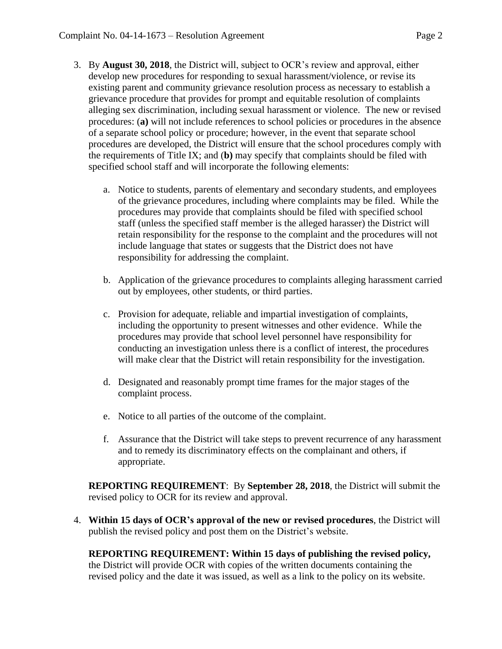- 3. By **August 30, 2018**, the District will, subject to OCR's review and approval, either develop new procedures for responding to sexual harassment/violence, or revise its existing parent and community grievance resolution process as necessary to establish a grievance procedure that provides for prompt and equitable resolution of complaints alleging sex discrimination, including sexual harassment or violence. The new or revised procedures: (**a)** will not include references to school policies or procedures in the absence of a separate school policy or procedure; however, in the event that separate school procedures are developed, the District will ensure that the school procedures comply with the requirements of Title IX; and (**b)** may specify that complaints should be filed with specified school staff and will incorporate the following elements:
	- a. Notice to students, parents of elementary and secondary students, and employees of the grievance procedures, including where complaints may be filed. While the procedures may provide that complaints should be filed with specified school staff (unless the specified staff member is the alleged harasser) the District will retain responsibility for the response to the complaint and the procedures will not include language that states or suggests that the District does not have responsibility for addressing the complaint.
	- b. Application of the grievance procedures to complaints alleging harassment carried out by employees, other students, or third parties.
	- c. Provision for adequate, reliable and impartial investigation of complaints, including the opportunity to present witnesses and other evidence. While the procedures may provide that school level personnel have responsibility for conducting an investigation unless there is a conflict of interest, the procedures will make clear that the District will retain responsibility for the investigation.
	- d. Designated and reasonably prompt time frames for the major stages of the complaint process.
	- e. Notice to all parties of the outcome of the complaint.
	- f. Assurance that the District will take steps to prevent recurrence of any harassment and to remedy its discriminatory effects on the complainant and others, if appropriate.

**REPORTING REQUIREMENT**: By **September 28, 2018**, the District will submit the revised policy to OCR for its review and approval.

4. **Within 15 days of OCR's approval of the new or revised procedures**, the District will publish the revised policy and post them on the District's website.

**REPORTING REQUIREMENT: Within 15 days of publishing the revised policy,**  the District will provide OCR with copies of the written documents containing the revised policy and the date it was issued, as well as a link to the policy on its website.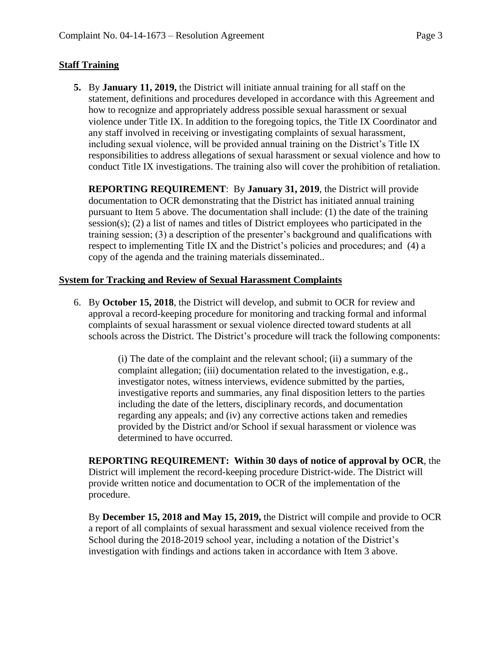## **Staff Training**

**5.** By **January 11, 2019,** the District will initiate annual training for all staff on the statement, definitions and procedures developed in accordance with this Agreement and how to recognize and appropriately address possible sexual harassment or sexual violence under Title IX. In addition to the foregoing topics, the Title IX Coordinator and any staff involved in receiving or investigating complaints of sexual harassment, including sexual violence, will be provided annual training on the District's Title IX responsibilities to address allegations of sexual harassment or sexual violence and how to conduct Title IX investigations. The training also will cover the prohibition of retaliation.

**REPORTING REQUIREMENT**: By **January 31, 2019**, the District will provide documentation to OCR demonstrating that the District has initiated annual training pursuant to Item 5 above. The documentation shall include: (1) the date of the training session(s); (2) a list of names and titles of District employees who participated in the training session; (3) a description of the presenter's background and qualifications with respect to implementing Title IX and the District's policies and procedures; and (4) a copy of the agenda and the training materials disseminated..

## **System for Tracking and Review of Sexual Harassment Complaints**

6. By **October 15, 2018**, the District will develop, and submit to OCR for review and approval a record-keeping procedure for monitoring and tracking formal and informal complaints of sexual harassment or sexual violence directed toward students at all schools across the District. The District's procedure will track the following components:

> (i) The date of the complaint and the relevant school; (ii) a summary of the complaint allegation; (iii) documentation related to the investigation, e.g., investigator notes, witness interviews, evidence submitted by the parties, investigative reports and summaries, any final disposition letters to the parties including the date of the letters, disciplinary records, and documentation regarding any appeals; and (iv) any corrective actions taken and remedies provided by the District and/or School if sexual harassment or violence was determined to have occurred.

**REPORTING REQUIREMENT: Within 30 days of notice of approval by OCR**, the District will implement the record-keeping procedure District-wide. The District will provide written notice and documentation to OCR of the implementation of the procedure.

By **December 15, 2018 and May 15, 2019,** the District will compile and provide to OCR a report of all complaints of sexual harassment and sexual violence received from the School during the 2018-2019 school year, including a notation of the District's investigation with findings and actions taken in accordance with Item 3 above.